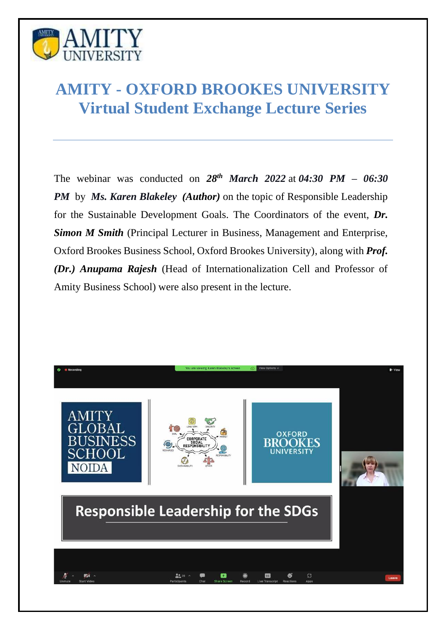

## **AMITY - OXFORD BROOKES UNIVERSITY Virtual Student Exchange Lecture Series**

The webinar was conducted on  $28^{th}$  *March*  $2022$  at  $04:30$  *PM* –  $06:30$ *PM* by *Ms. Karen Blakeley (Author)* on the topic of Responsible Leadership for the Sustainable Development Goals. The Coordinators of the event, *Dr. Simon M Smith* (Principal Lecturer in Business, Management and Enterprise, Oxford Brookes Business School, Oxford Brookes University), along with *Prof. (Dr.) Anupama Rajesh* (Head of Internationalization Cell and Professor of Amity Business School) were also present in the lecture.

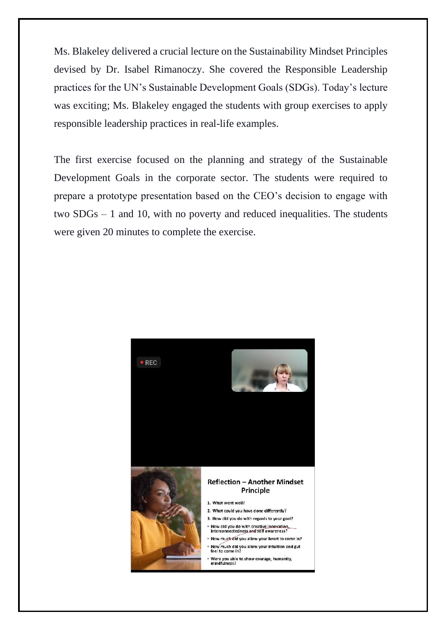Ms. Blakeley delivered a crucial lecture on the Sustainability Mindset Principles devised by Dr. Isabel Rimanoczy. She covered the Responsible Leadership practices for the UN's Sustainable Development Goals (SDGs). Today's lecture was exciting; Ms. Blakeley engaged the students with group exercises to apply responsible leadership practices in real-life examples.

The first exercise focused on the planning and strategy of the Sustainable Development Goals in the corporate sector. The students were required to prepare a prototype presentation based on the CEO's decision to engage with two SDGs – 1 and 10, with no poverty and reduced inequalities. The students were given 20 minutes to complete the exercise.

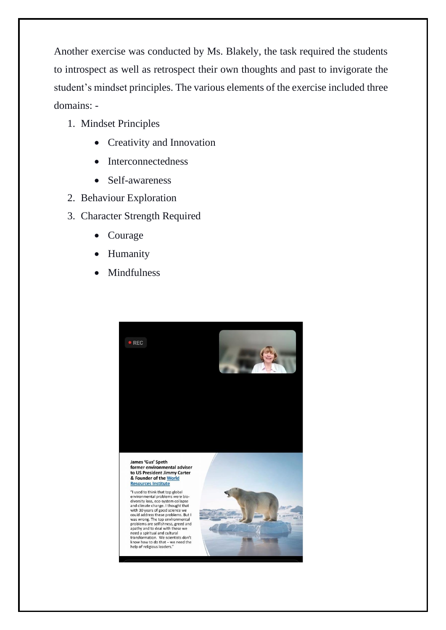Another exercise was conducted by Ms. Blakely, the task required the students to introspect as well as retrospect their own thoughts and past to invigorate the student's mindset principles. The various elements of the exercise included three domains: -

- 1. Mindset Principles
	- Creativity and Innovation
	- Interconnectedness
	- Self-awareness
- 2. Behaviour Exploration
- 3. Character Strength Required
	- Courage
	- **Humanity**
	- **Mindfulness**

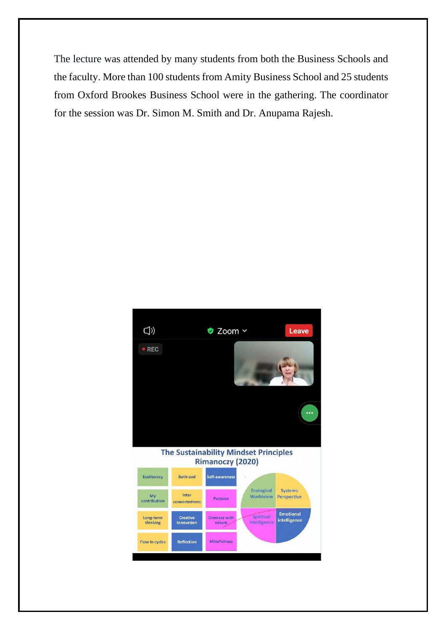The lecture was attended by many students from both the Business Schools and the faculty. More than 100 students from Amity Business School and 25 students from Oxford Brookes Business School were in the gathering. The coordinator for the session was Dr. Simon M. Smith and Dr. Anupama Rajesh.

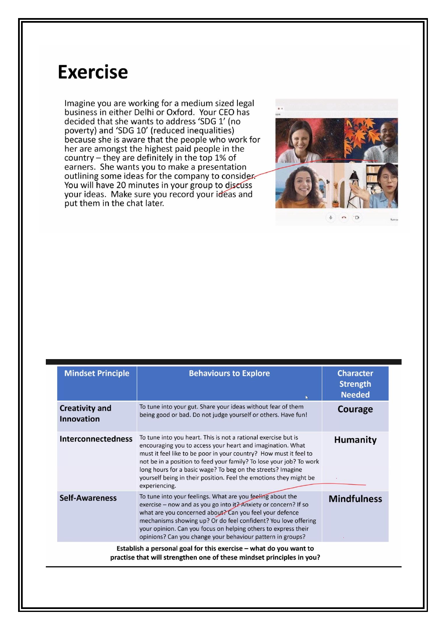## **Exercise**

Imagine you are working for a medium sized legal business in either Delhi or Oxford. Your CEO has decided that she wants to address 'SDG 1' (no poverty) and 'SDG 10' (reduced inequalities) because she is aware that the people who work for her are amongst the highest paid people in the country - they are definitely in the top 1% of earners. She wants you to make a presentation outlining some ideas for the company to consider You will have 20 minutes in your group to discuss your ideas. Make sure you record your ideas and put them in the chat later.



| <b>Mindset Principle</b>                                                                                                                   | <b>Behaviours to Explore</b>                                                                                                                                                                                                                                                                                                                                                                                                  | <b>Character</b><br><b>Strength</b><br><b>Needed</b> |
|--------------------------------------------------------------------------------------------------------------------------------------------|-------------------------------------------------------------------------------------------------------------------------------------------------------------------------------------------------------------------------------------------------------------------------------------------------------------------------------------------------------------------------------------------------------------------------------|------------------------------------------------------|
| <b>Creativity and</b><br><b>Innovation</b>                                                                                                 | To tune into your gut. Share your ideas without fear of them<br>being good or bad. Do not judge yourself or others. Have fun!                                                                                                                                                                                                                                                                                                 | Courage                                              |
| <b>Interconnectedness</b>                                                                                                                  | To tune into you heart. This is not a rational exercise but is<br>encouraging you to access your heart and imagination. What<br>must it feel like to be poor in your country? How must it feel to<br>not be in a position to feed your family? To lose your job? To work<br>long hours for a basic wage? To beg on the streets? Imagine<br>yourself being in their position. Feel the emotions they might be<br>experiencing. | <b>Humanity</b>                                      |
| <b>Self-Awareness</b>                                                                                                                      | To tune into your feelings. What are you feeling about the<br>exercise - now and as you go into it? Anxiety or concern? If so<br>what are you concerned about? Can you feel your defence<br>mechanisms showing up? Or do feel confident? You love offering<br>your opinion. Can you focus on helping others to express their<br>opinions? Can you change your behaviour pattern in groups?                                    | <b>Mindfulness</b>                                   |
| Establish a personal goal for this exercise - what do you want to<br>practise that will strengthen one of these mindset principles in you? |                                                                                                                                                                                                                                                                                                                                                                                                                               |                                                      |